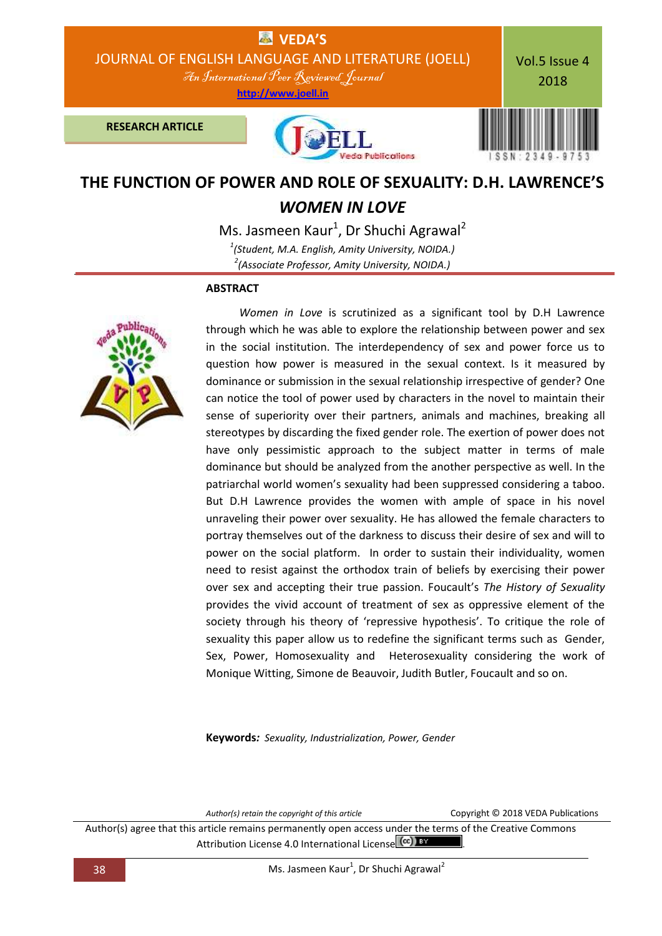

## **THE FUNCTION OF POWER AND ROLE OF SEXUALITY: D.H. LAWRENCE'S**  *WOMEN IN LOVE*

Ms. Jasmeen Kaur<sup>1</sup>, Dr Shuchi Agrawal<sup>2</sup> *1 (Student, M.A. English, Amity University, NOIDA.) 2 (Associate Professor, Amity University, NOIDA.)*

## **ABSTRACT**



 *Women in Love* is scrutinized as a significant tool by D.H Lawrence through which he was able to explore the relationship between power and sex in the social institution. The interdependency of sex and power force us to question how power is measured in the sexual context. Is it measured by dominance or submission in the sexual relationship irrespective of gender? One can notice the tool of power used by characters in the novel to maintain their sense of superiority over their partners, animals and machines, breaking all stereotypes by discarding the fixed gender role. The exertion of power does not have only pessimistic approach to the subject matter in terms of male dominance but should be analyzed from the another perspective as well. In the patriarchal world women's sexuality had been suppressed considering a taboo. But D.H Lawrence provides the women with ample of space in his novel unraveling their power over sexuality. He has allowed the female characters to portray themselves out of the darkness to discuss their desire of sex and will to power on the social platform. In order to sustain their individuality, women need to resist against the orthodox train of beliefs by exercising their power over sex and accepting their true passion. Foucault's *The History of Sexuality* provides the vivid account of treatment of sex as oppressive element of the society through his theory of 'repressive hypothesis'. To critique the role of sexuality this paper allow us to redefine the significant terms such as Gender, Sex, Power, Homosexuality and Heterosexuality considering the work of Monique Witting, Simone de Beauvoir, Judith Butler, Foucault and so on.

**Keywords***: Sexuality, Industrialization, Power, Gender*

*Author(s) retain the copyright of this article* Copyright © 2018 VEDA Publications

Author(s) agree that this article remains permanently open access under the terms of the Creative Commons Attribution License 4.0 International License (CC) BY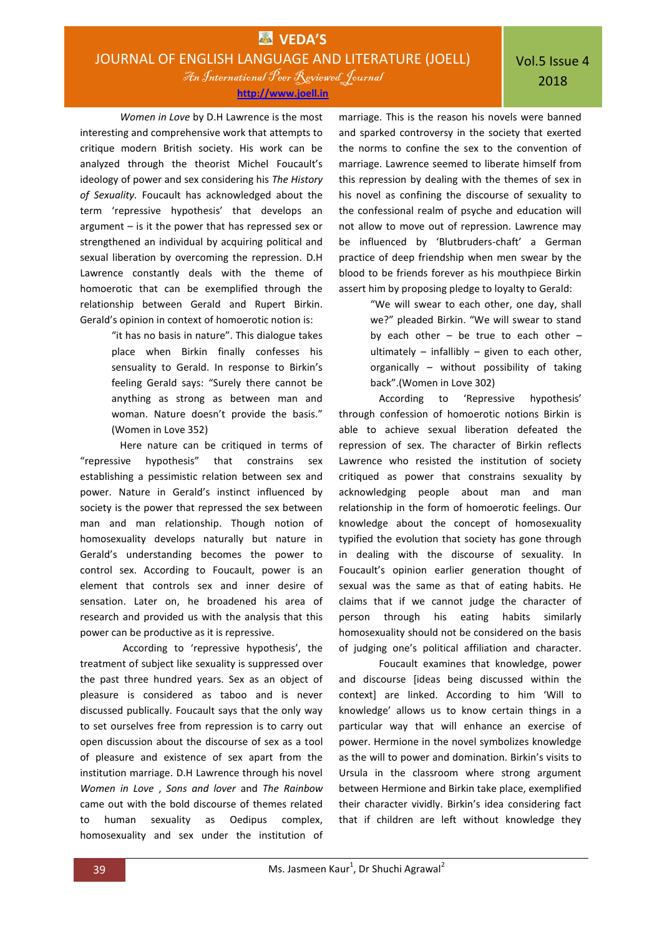An International Peer Reviewed Journal **[http://www.joell.in](http://www.joell.in/)**

*Women in Love* by D.H Lawrence is the most interesting and comprehensive work that attempts to critique modern British society. His work can be analyzed through the theorist Michel Foucault's ideology of power and sex considering his *The History of Sexuality.* Foucault has acknowledged about the term 'repressive hypothesis' that develops an argument – is it the power that has repressed sex or strengthened an individual by acquiring political and sexual liberation by overcoming the repression. D.H Lawrence constantly deals with the theme of homoerotic that can be exemplified through the relationship between Gerald and Rupert Birkin. Gerald's opinion in context of homoerotic notion is:

> "it has no basis in nature". This dialogue takes place when Birkin finally confesses his sensuality to Gerald. In response to Birkin's feeling Gerald says: "Surely there cannot be anything as strong as between man and woman. Nature doesn't provide the basis." (Women in Love 352)

Here nature can be critiqued in terms of "repressive hypothesis" that constrains sex establishing a pessimistic relation between sex and power. Nature in Gerald's instinct influenced by society is the power that repressed the sex between man and man relationship. Though notion of homosexuality develops naturally but nature in Gerald's understanding becomes the power to control sex. According to Foucault, power is an element that controls sex and inner desire of sensation. Later on, he broadened his area of research and provided us with the analysis that this power can be productive as it is repressive.

According to 'repressive hypothesis', the treatment of subject like sexuality is suppressed over the past three hundred years. Sex as an object of pleasure is considered as taboo and is never discussed publically. Foucault says that the only way to set ourselves free from repression is to carry out open discussion about the discourse of sex as a tool of pleasure and existence of sex apart from the institution marriage. D.H Lawrence through his novel *Women in Love* , *Sons and lover* and *The Rainbow* came out with the bold discourse of themes related to human sexuality as Oedipus complex, homosexuality and sex under the institution of

marriage. This is the reason his novels were banned and sparked controversy in the society that exerted the norms to confine the sex to the convention of marriage. Lawrence seemed to liberate himself from this repression by dealing with the themes of sex in his novel as confining the discourse of sexuality to the confessional realm of psyche and education will not allow to move out of repression. Lawrence may be influenced by 'Blutbruders-chaft' a German practice of deep friendship when men swear by the blood to be friends forever as his mouthpiece Birkin assert him by proposing pledge to loyalty to Gerald:

> "We will swear to each other, one day, shall we?" pleaded Birkin. "We will swear to stand by each other  $-$  be true to each other  $$ ultimately  $-$  infallibly  $-$  given to each other, organically – without possibility of taking back".(Women in Love 302)

According to 'Repressive hypothesis' through confession of homoerotic notions Birkin is able to achieve sexual liberation defeated the repression of sex. The character of Birkin reflects Lawrence who resisted the institution of society critiqued as power that constrains sexuality by acknowledging people about man and man relationship in the form of homoerotic feelings. Our knowledge about the concept of homosexuality typified the evolution that society has gone through in dealing with the discourse of sexuality. In Foucault's opinion earlier generation thought of sexual was the same as that of eating habits. He claims that if we cannot judge the character of person through his eating habits similarly homosexuality should not be considered on the basis of judging one's political affiliation and character.

Foucault examines that knowledge, power and discourse [ideas being discussed within the context] are linked. According to him 'Will to knowledge' allows us to know certain things in a particular way that will enhance an exercise of power. Hermione in the novel symbolizes knowledge as the will to power and domination. Birkin's visits to Ursula in the classroom where strong argument between Hermione and Birkin take place, exemplified their character vividly. Birkin's idea considering fact that if children are left without knowledge they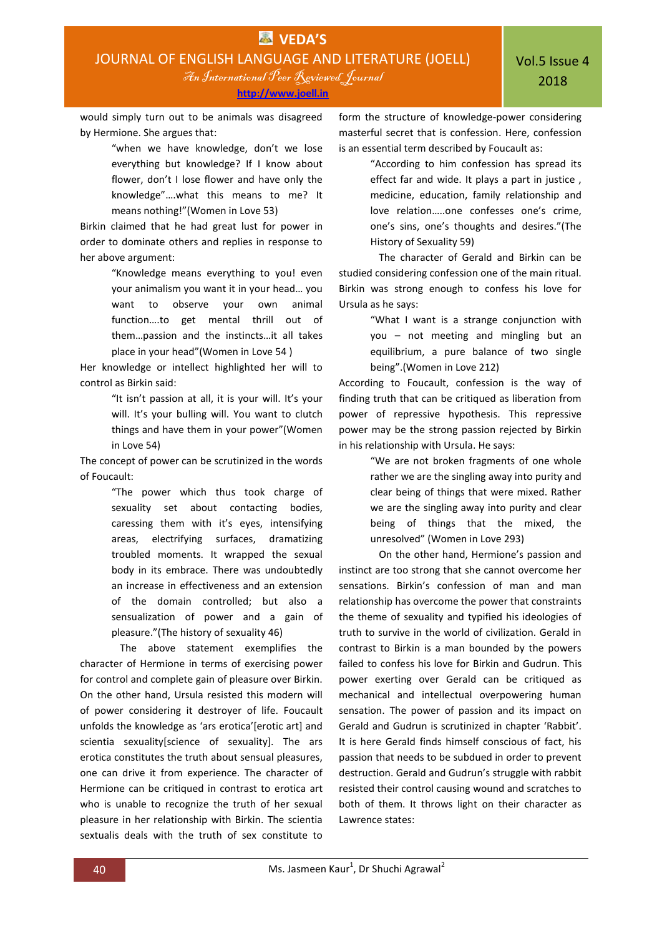would simply turn out to be animals was disagreed by Hermione. She argues that:

> "when we have knowledge, don't we lose everything but knowledge? If I know about flower, don't I lose flower and have only the knowledge"….what this means to me? It means nothing!"(Women in Love 53)

Birkin claimed that he had great lust for power in order to dominate others and replies in response to her above argument:

> "Knowledge means everything to you! even your animalism you want it in your head… you want to observe your own animal function….to get mental thrill out of them…passion and the instincts…it all takes place in your head"(Women in Love 54 )

Her knowledge or intellect highlighted her will to control as Birkin said:

> "It isn't passion at all, it is your will. It's your will. It's your bulling will. You want to clutch things and have them in your power"(Women in Love 54)

The concept of power can be scrutinized in the words of Foucault:

> "The power which thus took charge of sexuality set about contacting bodies, caressing them with it's eyes, intensifying areas, electrifying surfaces, dramatizing troubled moments. It wrapped the sexual body in its embrace. There was undoubtedly an increase in effectiveness and an extension of the domain controlled; but also a sensualization of power and a gain of pleasure."(The history of sexuality 46)

The above statement exemplifies the character of Hermione in terms of exercising power for control and complete gain of pleasure over Birkin. On the other hand, Ursula resisted this modern will of power considering it destroyer of life. Foucault unfolds the knowledge as 'ars erotica' [erotic art] and scientia sexuality[science of sexuality]. The ars erotica constitutes the truth about sensual pleasures, one can drive it from experience. The character of Hermione can be critiqued in contrast to erotica art who is unable to recognize the truth of her sexual pleasure in her relationship with Birkin. The scientia sextualis deals with the truth of sex constitute to

form the structure of knowledge-power considering masterful secret that is confession. Here, confession is an essential term described by Foucault as:

> "According to him confession has spread its effect far and wide. It plays a part in justice , medicine, education, family relationship and love relation…..one confesses one's crime, one's sins, one's thoughts and desires."(The History of Sexuality 59)

The character of Gerald and Birkin can be studied considering confession one of the main ritual. Birkin was strong enough to confess his love for Ursula as he says:

> "What I want is a strange conjunction with you – not meeting and mingling but an equilibrium, a pure balance of two single being".(Women in Love 212)

According to Foucault, confession is the way of finding truth that can be critiqued as liberation from power of repressive hypothesis. This repressive power may be the strong passion rejected by Birkin in his relationship with Ursula. He says:

> "We are not broken fragments of one whole rather we are the singling away into purity and clear being of things that were mixed. Rather we are the singling away into purity and clear being of things that the mixed, the unresolved" (Women in Love 293)

On the other hand, Hermione's passion and instinct are too strong that she cannot overcome her sensations. Birkin's confession of man and man relationship has overcome the power that constraints the theme of sexuality and typified his ideologies of truth to survive in the world of civilization. Gerald in contrast to Birkin is a man bounded by the powers failed to confess his love for Birkin and Gudrun. This power exerting over Gerald can be critiqued as mechanical and intellectual overpowering human sensation. The power of passion and its impact on Gerald and Gudrun is scrutinized in chapter 'Rabbit'. It is here Gerald finds himself conscious of fact, his passion that needs to be subdued in order to prevent destruction. Gerald and Gudrun's struggle with rabbit resisted their control causing wound and scratches to both of them. It throws light on their character as Lawrence states: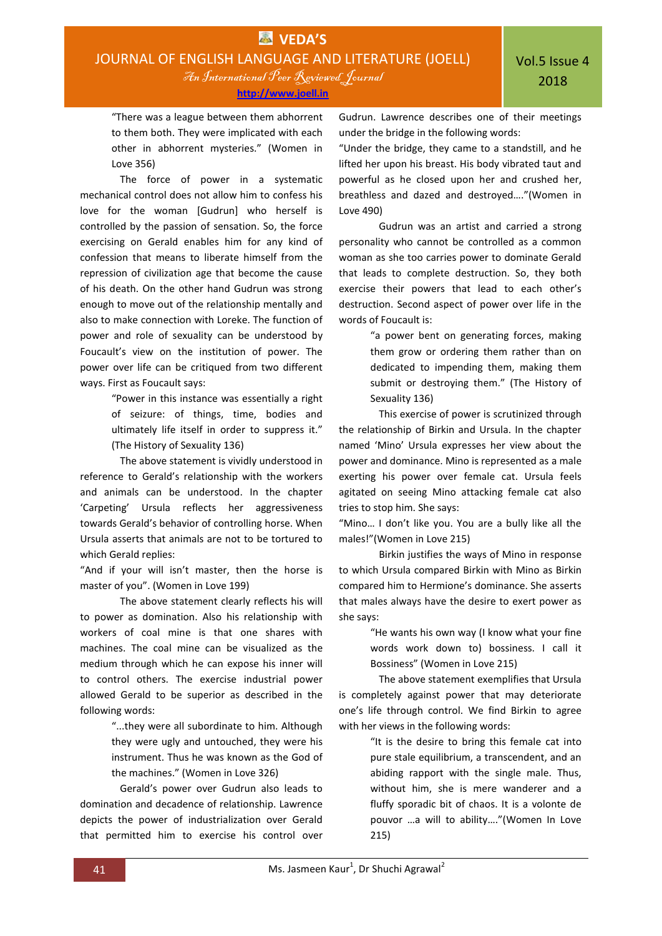"There was a league between them abhorrent to them both. They were implicated with each other in abhorrent mysteries." (Women in Love 356)

The force of power in a systematic mechanical control does not allow him to confess his love for the woman [Gudrun] who herself is controlled by the passion of sensation. So, the force exercising on Gerald enables him for any kind of confession that means to liberate himself from the repression of civilization age that become the cause of his death. On the other hand Gudrun was strong enough to move out of the relationship mentally and also to make connection with Loreke. The function of power and role of sexuality can be understood by Foucault's view on the institution of power. The power over life can be critiqued from two different ways. First as Foucault says:

> "Power in this instance was essentially a right of seizure: of things, time, bodies and ultimately life itself in order to suppress it." (The History of Sexuality 136)

The above statement is vividly understood in reference to Gerald's relationship with the workers and animals can be understood. In the chapter 'Carpeting' Ursula reflects her aggressiveness towards Gerald's behavior of controlling horse. When Ursula asserts that animals are not to be tortured to which Gerald replies:

"And if your will isn't master, then the horse is master of you". (Women in Love 199)

The above statement clearly reflects his will to power as domination. Also his relationship with workers of coal mine is that one shares with machines. The coal mine can be visualized as the medium through which he can expose his inner will to control others. The exercise industrial power allowed Gerald to be superior as described in the following words:

> "...they were all subordinate to him. Although they were ugly and untouched, they were his instrument. Thus he was known as the God of the machines." (Women in Love 326)

Gerald's power over Gudrun also leads to domination and decadence of relationship. Lawrence depicts the power of industrialization over Gerald that permitted him to exercise his control over Gudrun. Lawrence describes one of their meetings under the bridge in the following words:

"Under the bridge, they came to a standstill, and he lifted her upon his breast. His body vibrated taut and powerful as he closed upon her and crushed her, breathless and dazed and destroyed…."(Women in Love 490)

Gudrun was an artist and carried a strong personality who cannot be controlled as a common woman as she too carries power to dominate Gerald that leads to complete destruction. So, they both exercise their powers that lead to each other's destruction. Second aspect of power over life in the words of Foucault is:

> "a power bent on generating forces, making them grow or ordering them rather than on dedicated to impending them, making them submit or destroying them." (The History of Sexuality 136)

This exercise of power is scrutinized through the relationship of Birkin and Ursula. In the chapter named 'Mino' Ursula expresses her view about the power and dominance. Mino is represented as a male exerting his power over female cat. Ursula feels agitated on seeing Mino attacking female cat also tries to stop him. She says:

"Mino… I don't like you. You are a bully like all the males!"(Women in Love 215)

Birkin justifies the ways of Mino in response to which Ursula compared Birkin with Mino as Birkin compared him to Hermione's dominance. She asserts that males always have the desire to exert power as she says:

> "He wants his own way (I know what your fine words work down to) bossiness. I call it Bossiness" (Women in Love 215)

The above statement exemplifies that Ursula is completely against power that may deteriorate one's life through control. We find Birkin to agree with her views in the following words:

> "It is the desire to bring this female cat into pure stale equilibrium, a transcendent, and an abiding rapport with the single male. Thus, without him, she is mere wanderer and a fluffy sporadic bit of chaos. It is a volonte de pouvor …a will to ability…."(Women In Love 215)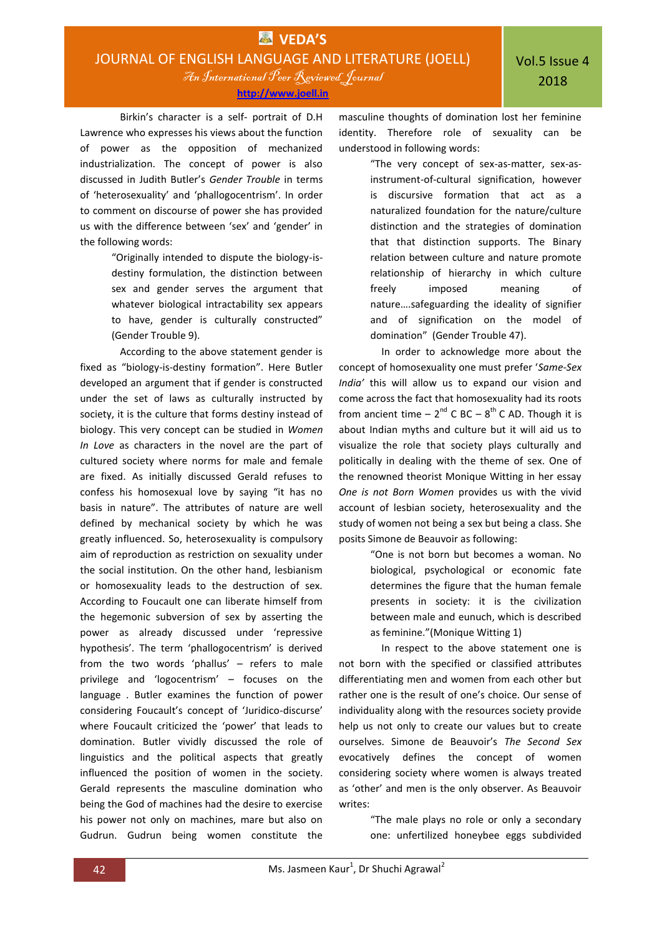Birkin's character is a self- portrait of D.H Lawrence who expresses his views about the function of power as the opposition of mechanized industrialization. The concept of power is also discussed in Judith Butler's *Gender Trouble* in terms of 'heterosexuality' and 'phallogocentrism'. In order to comment on discourse of power she has provided us with the difference between 'sex' and 'gender' in the following words:

> "Originally intended to dispute the biology-isdestiny formulation, the distinction between sex and gender serves the argument that whatever biological intractability sex appears to have, gender is culturally constructed" (Gender Trouble 9).

According to the above statement gender is fixed as "biology-is-destiny formation". Here Butler developed an argument that if gender is constructed under the set of laws as culturally instructed by society, it is the culture that forms destiny instead of biology. This very concept can be studied in *Women In Love* as characters in the novel are the part of cultured society where norms for male and female are fixed. As initially discussed Gerald refuses to confess his homosexual love by saying "it has no basis in nature". The attributes of nature are well defined by mechanical society by which he was greatly influenced. So, heterosexuality is compulsory aim of reproduction as restriction on sexuality under the social institution. On the other hand, lesbianism or homosexuality leads to the destruction of sex. According to Foucault one can liberate himself from the hegemonic subversion of sex by asserting the power as already discussed under 'repressive hypothesis'. The term 'phallogocentrism' is derived from the two words 'phallus' – refers to male privilege and 'logocentrism' – focuses on the language . Butler examines the function of power considering Foucault's concept of 'Juridico-discurse' where Foucault criticized the 'power' that leads to domination. Butler vividly discussed the role of linguistics and the political aspects that greatly influenced the position of women in the society. Gerald represents the masculine domination who being the God of machines had the desire to exercise his power not only on machines, mare but also on Gudrun. Gudrun being women constitute the

masculine thoughts of domination lost her feminine identity. Therefore role of sexuality can be understood in following words:

> "The very concept of sex-as-matter, sex-asinstrument-of-cultural signification, however is discursive formation that act as a naturalized foundation for the nature/culture distinction and the strategies of domination that that distinction supports. The Binary relation between culture and nature promote relationship of hierarchy in which culture freely imposed meaning of nature….safeguarding the ideality of signifier and of signification on the model of domination" (Gender Trouble 47).

In order to acknowledge more about the concept of homosexuality one must prefer '*Same-Sex India'* this will allow us to expand our vision and come across the fact that homosexuality had its roots from ancient time  $-2^{nd}$  C BC  $-8^{th}$  C AD. Though it is about Indian myths and culture but it will aid us to visualize the role that society plays culturally and politically in dealing with the theme of sex. One of the renowned theorist Monique Witting in her essay *One is not Born Women* provides us with the vivid account of lesbian society, heterosexuality and the study of women not being a sex but being a class. She posits Simone de Beauvoir as following:

> "One is not born but becomes a woman. No biological, psychological or economic fate determines the figure that the human female presents in society: it is the civilization between male and eunuch, which is described as feminine."(Monique Witting 1)

In respect to the above statement one is not born with the specified or classified attributes differentiating men and women from each other but rather one is the result of one's choice. Our sense of individuality along with the resources society provide help us not only to create our values but to create ourselves. Simone de Beauvoir's *The Second Sex* evocatively defines the concept of women considering society where women is always treated as 'other' and men is the only observer. As Beauvoir writes:

> "The male plays no role or only a secondary one: unfertilized honeybee eggs subdivided